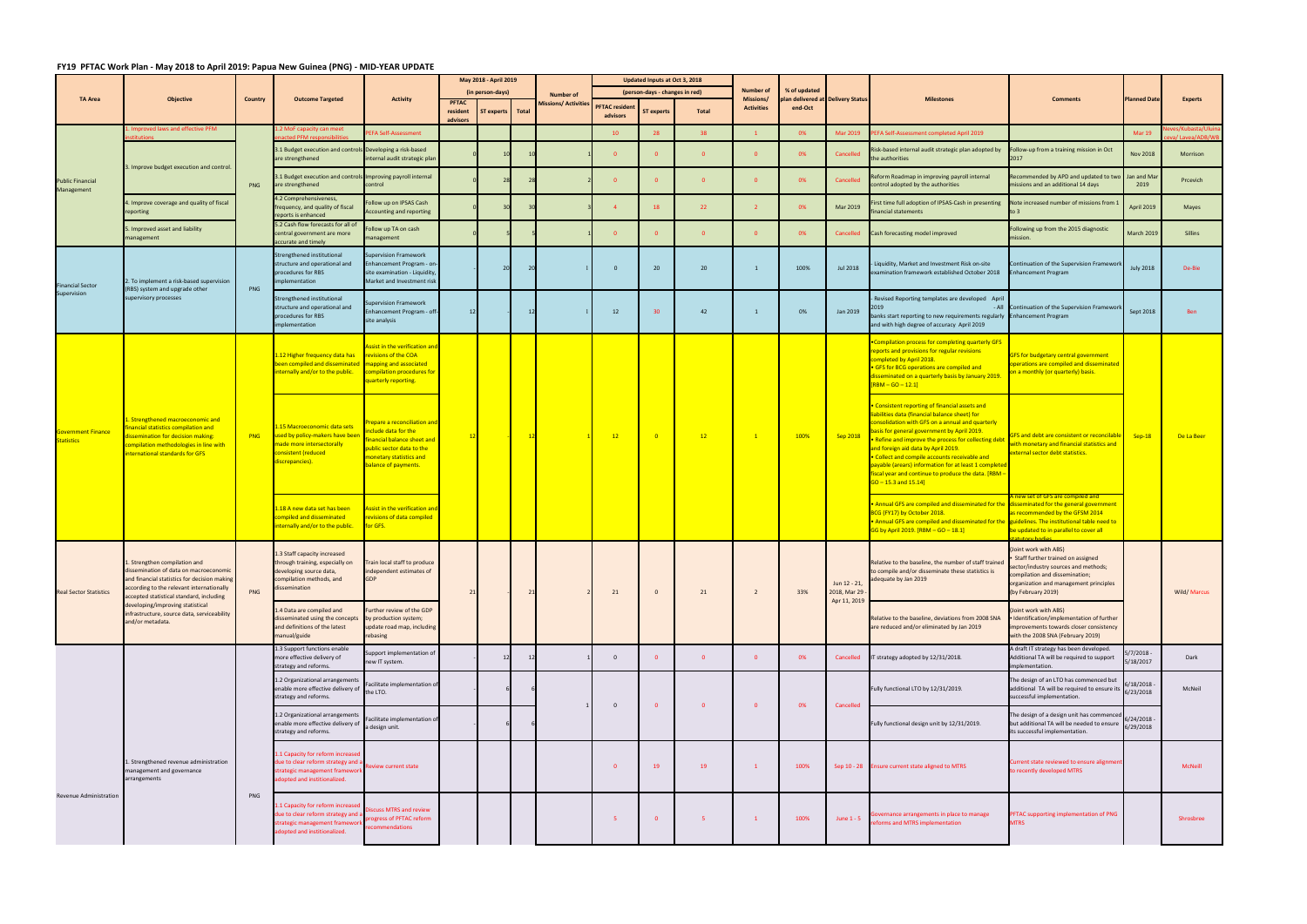## **FY19 PFTAC Work Plan ‐ May 2018 to April 2019: Papua New Guinea (PNG) ‐ MID‐YEAR UPDATE**

|                                                |                                                                                                                                                                                                                                                                                                                      |                | <b>Outcome Targeted</b>                                                                                                                                             | <b>Activity</b>                                                                                                                                              | May 2018 - April 2019                |                  |  |                             | Updated Inputs at Oct 3, 2018     |                   |                         |                               |                                                          |                                                                                                                                                                                                                                                                               |                                                                                                                                                                                                                                                                                                                                                                                                                                                                                                |                                                                                                                                                                                                       |                        |                                  |
|------------------------------------------------|----------------------------------------------------------------------------------------------------------------------------------------------------------------------------------------------------------------------------------------------------------------------------------------------------------------------|----------------|---------------------------------------------------------------------------------------------------------------------------------------------------------------------|--------------------------------------------------------------------------------------------------------------------------------------------------------------|--------------------------------------|------------------|--|-----------------------------|-----------------------------------|-------------------|-------------------------|-------------------------------|----------------------------------------------------------|-------------------------------------------------------------------------------------------------------------------------------------------------------------------------------------------------------------------------------------------------------------------------------|------------------------------------------------------------------------------------------------------------------------------------------------------------------------------------------------------------------------------------------------------------------------------------------------------------------------------------------------------------------------------------------------------------------------------------------------------------------------------------------------|-------------------------------------------------------------------------------------------------------------------------------------------------------------------------------------------------------|------------------------|----------------------------------|
| <b>TA Area</b>                                 | <b>Objective</b>                                                                                                                                                                                                                                                                                                     | <b>Country</b> |                                                                                                                                                                     |                                                                                                                                                              | (in person-days)                     |                  |  | <b>Number of</b>            | (person-days - changes in red)    |                   |                         | <b>Number of</b><br>Missions/ | % of updated<br><b>plan delivered at Delivery Status</b> |                                                                                                                                                                                                                                                                               | <b>Milestones</b>                                                                                                                                                                                                                                                                                                                                                                                                                                                                              | <b>Comments</b>                                                                                                                                                                                       | <b>Planned Date</b>    | <b>Experts</b>                   |
|                                                |                                                                                                                                                                                                                                                                                                                      |                |                                                                                                                                                                     |                                                                                                                                                              | <b>PFTAC</b><br>resident<br>advisors | ST experts Total |  | <b>Missions/ Activities</b> | <b>PFTAC resident</b><br>advisors | <b>ST experts</b> | Total                   | <b>Activities</b>             | end-Oct                                                  |                                                                                                                                                                                                                                                                               |                                                                                                                                                                                                                                                                                                                                                                                                                                                                                                |                                                                                                                                                                                                       |                        |                                  |
| <b>Public Financial</b><br>Management          | proved laws and effective PFM                                                                                                                                                                                                                                                                                        | PNG            | ? MoF capacity can meet<br>acted PFM responsibilities                                                                                                               | FA Self-Assessment                                                                                                                                           |                                      |                  |  |                             | 10 <sup>°</sup>                   |                   | 38                      |                               | 0%                                                       | Mar 2019                                                                                                                                                                                                                                                                      | PEFA Self-Assessment completed April 2019                                                                                                                                                                                                                                                                                                                                                                                                                                                      |                                                                                                                                                                                                       | <b>Mar 19</b>          | :s/Kubasta/Ului<br>a/Lavea/ADB/W |
|                                                | 3. Improve budget execution and control.                                                                                                                                                                                                                                                                             |                | 3.1 Budget execution and controls Developing a risk-based<br>are strengthened                                                                                       | internal audit strategic plar                                                                                                                                |                                      |                  |  |                             | $\overline{0}$                    |                   | $\overline{0}$          | $\overline{0}$                | 0%                                                       | Cancelled                                                                                                                                                                                                                                                                     | Risk-based internal audit strategic plan adopted by<br>the authorities                                                                                                                                                                                                                                                                                                                                                                                                                         | ollow-up from a training mission in Oct<br>2017                                                                                                                                                       | <b>Nov 2018</b>        | Morrison                         |
|                                                |                                                                                                                                                                                                                                                                                                                      |                | 3.1 Budget execution and controls Improving payroll internal<br>are strengthened                                                                                    | control                                                                                                                                                      |                                      | 28               |  |                             | $\overline{0}$                    |                   | $\overline{0}$          | $\overline{0}$                | 0%                                                       | Cancelled                                                                                                                                                                                                                                                                     | Reform Roadmap in improving payroll internal<br>control adopted by the authorities                                                                                                                                                                                                                                                                                                                                                                                                             | Recommended by APD and updated to two<br>missions and an additional 14 days                                                                                                                           | Jan and Ma<br>2019     | Prcevich                         |
|                                                | 4. Improve coverage and quality of fiscal<br>reporting                                                                                                                                                                                                                                                               |                | 1.2 Comprehensiveness,<br>requency, and quality of fiscal                                                                                                           | ollow up on IPSAS Cash<br><b>Accounting and reporting</b>                                                                                                    |                                      |                  |  |                             | $\overline{4}$                    | 18                | 22                      | 2 <sup>2</sup>                | 0%                                                       | Mar 2019                                                                                                                                                                                                                                                                      | First time full adoption of IPSAS-Cash in presenting<br>inancial statements                                                                                                                                                                                                                                                                                                                                                                                                                    | Note increased number of missions from 1<br>to 3                                                                                                                                                      | April 2019             | Mayes                            |
|                                                | 5. Improved asset and liability<br>management                                                                                                                                                                                                                                                                        |                | reports is enhanced<br>5.2 Cash flow forecasts for all of<br>central government are more                                                                            | ollow up TA on cash<br>nanagement                                                                                                                            |                                      |                  |  |                             | $\overline{0}$                    |                   | $\overline{0}$          | $\overline{0}$                | 0%                                                       | Cancelled                                                                                                                                                                                                                                                                     | Cash forecasting model improved                                                                                                                                                                                                                                                                                                                                                                                                                                                                | Following up from the 2015 diagnostic<br>nission.                                                                                                                                                     | March 2019             | Sillins                          |
| <b>Financial Sector</b><br>Supervision         | 2. To implement a risk-based supervision<br>(RBS) system and upgrade other<br>supervisory processes                                                                                                                                                                                                                  | PNG            | accurate and timely<br>Strengthened institutional<br>structure and operational and<br>procedures for RBS<br>nplementation                                           | upervision Framework<br>nhancement Program - on-<br>site examination - Liquidity,<br>Market and Investment risk                                              |                                      | 20               |  |                             | $\overline{0}$                    | 20                | 20                      | 1                             | 100%                                                     | Jul 2018                                                                                                                                                                                                                                                                      | Liquidity, Market and Investment Risk on-site<br>examination framework established October 2018                                                                                                                                                                                                                                                                                                                                                                                                | ontinuation of the Supervision Framewor<br>Inhancement Program                                                                                                                                        | <b>July 2018</b>       | De-Bie                           |
|                                                |                                                                                                                                                                                                                                                                                                                      |                | Strengthened institutional<br>tructure and operational and<br>procedures for RBS<br>implementation                                                                  | Supervision Framework<br>nhancement Program - off-<br>site analysis                                                                                          | 12 <sub>l</sub>                      |                  |  |                             | 12                                | 30                | 42                      | $\mathbf{1}$                  | 0%                                                       | Jan 2019                                                                                                                                                                                                                                                                      | Revised Reporting templates are developed April<br>- All<br>banks start reporting to new requirements regularly Enhancement Program<br>and with high degree of accuracy April 2019                                                                                                                                                                                                                                                                                                             | Continuation of the Supervision Frameworl                                                                                                                                                             | Sept 2018              |                                  |
| <b>Government Finance</b><br><b>Statistics</b> | . Strengthened macroeconomic and<br>inancial statistics compilation and<br>issemination for decision making:<br>ompilation methodologies in line with<br>nternational standards for GFS                                                                                                                              |                | 1.12 Higher frequency data has<br>been compiled and disseminated In<br>internally and/or to the public.                                                             | ssist in the verification and<br>evisions of the COA<br>napping and associated<br>ompilation procedures for<br>uarterly reporting.                           |                                      |                  |  |                             |                                   | $\overline{0}$    | 12                      | $\mathbf{1}$                  | 100%                                                     | Sep 2018                                                                                                                                                                                                                                                                      | Compilation process for completing quarterly GFS<br>reports and provisions for regular revisions<br>completed by April 2018.<br>• GFS for BCG operations are compiled and<br>disseminated on a quarterly basis by January 2019.<br>$[RBM - GO - 12.1]$                                                                                                                                                                                                                                         | GFS for budgetary central government<br>operations are compiled and disseminated<br>n a monthly (or quarterly) basis.                                                                                 | $Sep-18$               | De La Beer                       |
|                                                |                                                                                                                                                                                                                                                                                                                      | PNG            | .15 Macroeconomic data sets<br>used by policy-makers have been<br>made more intersectorally<br>onsistent (reduced<br>liscrepancies).                                | repare a reconciliation and<br>clude data for the<br>nancial balance sheet and<br>ublic sector data to the<br>nonetary statistics and<br>alance of payments. |                                      |                  |  |                             | 12                                |                   |                         |                               |                                                          |                                                                                                                                                                                                                                                                               | • Consistent reporting of financial assets and<br>liabilities data (financial balance sheet) for<br>consolidation with GFS on a annual and quarterly<br>basis for general government by April 2019.<br>Refine and improve the process for collecting debt<br>and foreign aid data by April 2019.<br>• Collect and compile accounts receivable and<br>payable (arears) information for at least 1 complete<br>Fiscal year and continue to produce the data. [RBM -<br>$GO - 15.3$ and $15.14$ ] | <b>GFS and debt are consistent or reconcilable</b><br>vith monetary and financial statistics and<br>xternal sector debt statistics.                                                                   |                        |                                  |
|                                                |                                                                                                                                                                                                                                                                                                                      |                | L.18 A new data set has been<br>ompiled and disseminated<br>internally and/or to the public.                                                                        | ssist in the verification an<br>evisions of data compiled<br>or GFS.                                                                                         |                                      |                  |  |                             |                                   |                   |                         |                               |                                                          | $\cdot$ Annual GFS are compiled and disseminated for the $\,$ disseminated for the general government<br>BCG (FY17) by October 2018.<br>• Annual GFS are compiled and disseminated for the guidelines. The institutional table need to<br>GG by April 2019. [RBM - GO - 18.1] | new set of GFS are compiled and<br>is recommended by the GFSM 2014<br>be updated to in parallel to cover all                                                                                                                                                                                                                                                                                                                                                                                   |                                                                                                                                                                                                       |                        |                                  |
| <b>Real Sector Statistics</b>                  | Strengthen compilation and<br>dissemination of data on macroeconomic<br>and financial statistics for decision making<br>according to the relevant internationally<br>accepted statistical standard, including<br>developing/improving statistical<br>infrastructure, source data, serviceability<br>and/or metadata. | PNG            | 1.3 Staff capacity increased<br>hrough training, especially on Train local staff to produce<br>developing source data,<br>compilation methods, and<br>dissemination | independent estimates of<br><b>GDP</b>                                                                                                                       |                                      |                  |  |                             | 21                                | $\overline{0}$    | 21                      | $\overline{2}$                | 33%                                                      | Jun 12 - 21,<br>2018, Mar 29<br>Apr 11, 2019                                                                                                                                                                                                                                  | Relative to the baseline, the number of staff trained<br>to compile and/or disseminate these statistics is<br>adequate by Jan 2019                                                                                                                                                                                                                                                                                                                                                             | Joint work with ABS)<br>• Staff further trained on assigned<br>sector/industry sources and methods;<br>compilation and dissemination;<br>organization and management principles<br>(by February 2019) |                        | <b>Wild/Marcus</b>               |
|                                                |                                                                                                                                                                                                                                                                                                                      |                | 1.4 Data are compiled and<br>disseminated using the concepts<br>and definitions of the latest<br>manual/guide                                                       | urther review of the GDP<br>by production system;<br>update road map, including<br>rebasing                                                                  |                                      |                  |  |                             |                                   |                   |                         |                               |                                                          |                                                                                                                                                                                                                                                                               | Relative to the baseline, deviations from 2008 SNA<br>are reduced and/or eliminated by Jan 2019                                                                                                                                                                                                                                                                                                                                                                                                | oint work with ABS)<br>Identification/implementation of further<br>improvements towards closer consistency<br>with the 2008 SNA (February 2019)                                                       |                        |                                  |
| Revenue Administration                         | I. Strengthened revenue administration<br>management and governance<br>arrangements                                                                                                                                                                                                                                  | PNG            | 1.3 Support functions enable<br>more effective delivery of<br>strategy and reforms.                                                                                 | upport implementation of<br>new IT system.                                                                                                                   |                                      | 12               |  |                             | $\overline{0}$                    | $\Omega$          | $\overline{\mathbf{0}}$ | $\overline{0}$                | 0%                                                       | Cancelled                                                                                                                                                                                                                                                                     | IT strategy adopted by 12/31/2018.                                                                                                                                                                                                                                                                                                                                                                                                                                                             | A draft IT strategy has been developed.<br>Additional TA will be required to support<br>mplementation.                                                                                                | 5/7/2018<br>5/18/2017  | Dark                             |
|                                                |                                                                                                                                                                                                                                                                                                                      |                | 1.2 Organizational arrangements<br>enable more effective delivery of<br>strategy and reforms.                                                                       | acilitate implementation of<br>the LTO.                                                                                                                      |                                      |                  |  |                             | $\overline{0}$                    | - 0               | $\Omega$                | $\overline{0}$                | 0%                                                       | Cancelled                                                                                                                                                                                                                                                                     | Fully functional LTO by 12/31/2019.                                                                                                                                                                                                                                                                                                                                                                                                                                                            | The design of an LTO has commenced but<br>additional TA will be required to ensure its<br>successful implementation.                                                                                  | 6/18/2018<br>6/23/2018 | McNeil                           |
|                                                |                                                                                                                                                                                                                                                                                                                      |                | 1.2 Organizational arrangements<br>enable more effective delivery of<br>strategy and reforms.                                                                       | acilitate implementation of<br>a design unit.                                                                                                                |                                      |                  |  |                             |                                   |                   |                         |                               |                                                          |                                                                                                                                                                                                                                                                               | Fully functional design unit by 12/31/2019.                                                                                                                                                                                                                                                                                                                                                                                                                                                    | The design of a design unit has commenced<br>but additional TA will be needed to ensure<br>its successful implementation.                                                                             | 6/24/2018<br>6/29/2018 |                                  |
|                                                |                                                                                                                                                                                                                                                                                                                      |                | 1.1 Capacity for reform increased<br>due to clear reform strategy and a<br>strategic management framework<br>dopted and institionalized.                            | view current state                                                                                                                                           |                                      |                  |  |                             | $\mathbf{0}$                      | 19                | 19                      | $\mathbf{1}$                  | 100%                                                     |                                                                                                                                                                                                                                                                               | Sep 10 - 28 Ensure current state aligned to MTRS                                                                                                                                                                                                                                                                                                                                                                                                                                               | urrent state reviewed to ensure alignmer<br>to recently developed MTRS                                                                                                                                |                        | McNeill                          |
|                                                |                                                                                                                                                                                                                                                                                                                      |                | 1 Capacity for reform increased<br>ue to clear reform strategy and a<br>trategic management framework<br>dopted and institionalized.                                | cuss MTRS and review<br>rogress of PFTAC reform<br>commendations                                                                                             |                                      |                  |  |                             | -5                                |                   |                         | $\mathbf{1}$                  | 100%                                                     | June $1 - 5$                                                                                                                                                                                                                                                                  | iovernance arrangements in place to manage<br>eforms and MTRS implementation                                                                                                                                                                                                                                                                                                                                                                                                                   | FTAC supporting implementation of PNG<br><b>MTRS</b>                                                                                                                                                  |                        | Shrosbree                        |